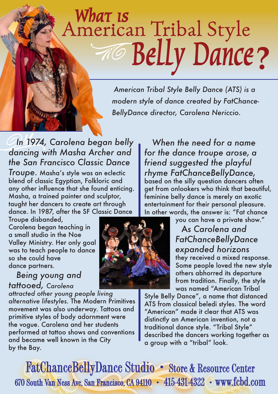## American Tribal Style

American Tribal Style Belly Dance (ATS) is a modern style of dance created by FatChance-BellyDance director, Carolena Nericcio.

## In 1974, Carolena began belly dancing with Masha Archer and the San Francisco Classic Dance

Troupe. Masha's style was an eclectic blend of classic Egyptian, Folkloric and any other influence that she found enticing. Masha, a trained painter and sculptor, taught her dancers to create art through dance. In 1987, after the SF Classic Dance

Troupe disbanded, Carolena began teaching in a small studio in the Noe Valley Ministry. Her only goal was to teach people to dance so she could have dance partners.

## Being young and tattooed, Carolena

attracted other young people living alternative lifestyles. The Modern Primitives movement was also underway. Tattoos and primitive styles of body adornment were the vogue. Carolena and her students performed at tattoo shows and conventions and became well known in the City by the Bay.

When the need for a name for the dance troupe arose, a friend suggested the playful rhyme FatChanceBellyDance, based on the silly question dancers often get from onlookers who think that beautiful, feminine belly dance is merely an exotic entertainment for their personal pleasure. In other words, the answer is: "Fat chance

you can have a private show." As Carolena and FatChanceBellyDance expanded horizons they received a mixed response. Some people loved the new style others abhorred its departure from tradition. Finally, the style was named "American Tribal

Style Belly Dance", a name that distanced ATS from classical beledi styles. The word "American" made it clear that ATS was distinctly an American invention, not a traditional dance style. "Tribal Style" described the dancers working together as a group with a "tribal" look.

**FatChanceBellyDance Studio • Store & Resource Center** 670 South Van Ness Ave, San Francisco, CA 94110 • 415-431-4322 • www.fcbd.com